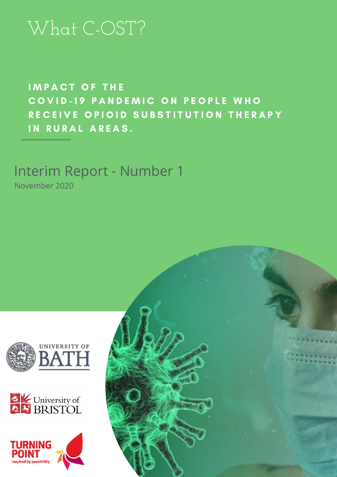# What C-OST?

IMPACT OF THE COVID-19 PANDEMIC ON PEOPLE WHO RECEIVE OPIOID SUBSTITUTION THERAPY IN RURAL AREAS.

## Interim Report - Number 1

November 2020





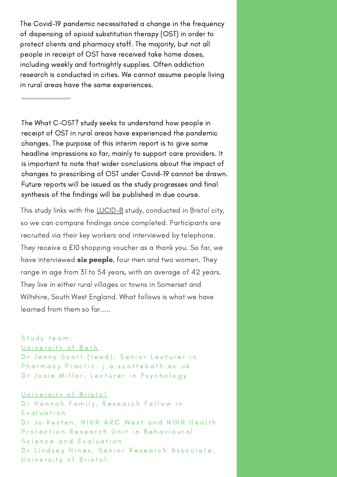The Covid-19 pandemic necessitated a change in the frequency of dispensing of opioid substitution therapy (OST) in order to protect clients and pharmacy staff. The majority, but not all people in receipt of OST have received take home doses, including weekly and fortnightly supplies. Often addiction research is conducted in cities. We cannot assume people living in rural areas have the same experiences.

The What C-OST? study seeks to understand how people in receipt of OST in rural areas have experienced the pandemic changes. The purpose of this interim report is to give some headline impressions so far, mainly to support care providers. It is important to note that wider conclusions about the impact of changes to prescribing of OST under Covid-19 cannot be drawn. Future reports will be issued as the study progresses and final synthesis of the findings will be published in due course.

This study links with the [LUCID-B](https://arc-w.nihr.ac.uk/research/projects/understanding-the-experiences-of-people-who-inject-drugs-during-the-covid-19-pandemic/) study, conducted in Bristol city, so we can compare findings once completed. Participants are recruited via their key workers and interviewed by telephone. They receive a £10 shopping voucher as a thank you. So far, we have interviewed six people, four men and two women. They range in age from 31 to 54 years, with an average of 42 years. They live in either rural villages or towns in Somerset and Wiltshire, South West England. What follows is what we have learned from them so far.....

### Study team:

#### University of Bath

Dr Jenny Scott (lead), Senior Lecturer in Pharmacy Practic. j.a.scottebath.ac.uk Dr Josie Millar, Lecturer in Psychology

### University of Bristol

Dr Hannah Family, Research Fellow in E v a l u a t i o n Dr Jo Kesten, NIHR ARC West and NIHR Health Protection Research Unit in Behavioural Science and Evaluation Dr Lindsey Hines, Senior Research Associate, University of Bristol.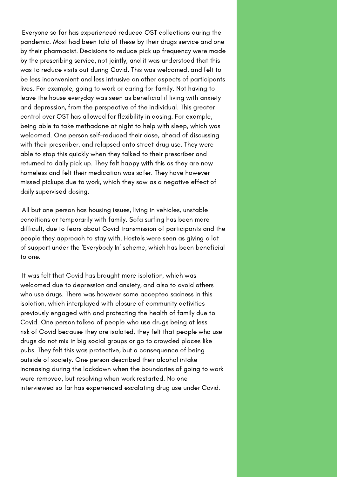Everyone so far has experienced reduced OST collections during the pandemic. Most had been told of these by their drugs service and one by their pharmacist. Decisions to reduce pick up frequency were made by the prescribing service, not jointly, and it was understood that this was to reduce visits out during Covid. This was welcomed, and felt to be less inconvenient and less intrusive on other aspects of participants lives. For example, going to work or caring for family. Not having to leave the house everyday was seen as beneficial if living with anxiety and depression, from the perspective of the individual. This greater control over OST has allowed for flexibility in dosing. For example, being able to take methadone at night to help with sleep, which was welcomed. One person self-reduced their dose, ahead of discussing with their prescriber, and relapsed onto street drug use. They were able to stop this quickly when they talked to their prescriber and returned to daily pick up. They felt happy with this as they are now homeless and felt their medication was safer. They have however missed pickups due to work, which they saw as a negative effect of daily supervised dosing.

All but one person has housing issues, living in vehicles, unstable conditions or temporarily with family. Sofa surfing has been more difficult, due to fears about Covid transmission of participants and the people they approach to stay with. Hostels were seen as giving a lot of support under the 'Everybody In' scheme, which has been beneficial to one.

It was felt that Covid has brought more isolation, which was welcomed due to depression and anxiety, and also to avoid others who use drugs. There was however some accepted sadness in this isolation, which interplayed with closure of community activities previously engaged with and protecting the health of family due to Covid. One person talked of people who use drugs being at less risk of Covid because they are isolated, they felt that people who use drugs do not mix in big social groups or go to crowded places like pubs. They felt this was protective, but a consequence of being outside of society. One person described their alcohol intake increasing during the lockdown when the boundaries of going to work were removed, but resolving when work restarted. No one interviewed so far has experienced escalating drug use under Covid.